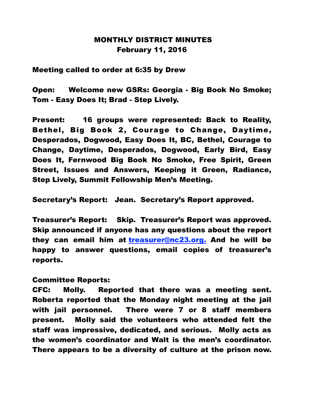## MONTHLY DISTRICT MINUTES February 11, 2016

Meeting called to order at 6:35 by Drew

Open: Welcome new GSRs: Georgia - Big Book No Smoke; Tom - Easy Does It; Brad - Step Lively.

Present: 16 groups were represented: Back to Reality, Bethel, Big Book 2, Courage to Change, Daytime, Desperados, Dogwood, Easy Does It, BC, Bethel, Courage to Change, Daytime, Desperados, Dogwood, Early Bird, Easy Does It, Fernwood Big Book No Smoke, Free Spirit, Green Street, Issues and Answers, Keeping it Green, Radiance, Step Lively, Summit Fellowship Men's Meeting.

Secretary's Report: Jean. Secretary's Report approved.

Treasurer's Report: Skip. Treasurer's Report was approved. Skip announced if anyone has any questions about the report they can email him at treasurer@nc23.org. And he will be happy to answer questions, email copies of treasurer's reports.

## Committee Reports:

CFC: Molly. Reported that there was a meeting sent. Roberta reported that the Monday night meeting at the jail with jail personnel. There were 7 or 8 staff members present. Molly said the volunteers who attended felt the staff was impressive, dedicated, and serious. Molly acts as the women's coordinator and Walt is the men's coordinator. There appears to be a diversity of culture at the prison now.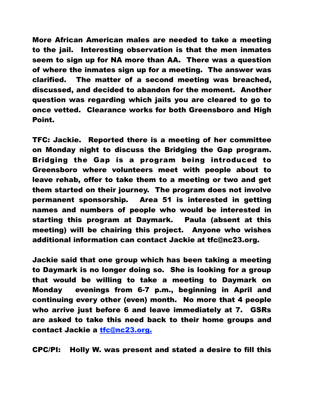More African American males are needed to take a meeting to the jail. Interesting observation is that the men inmates seem to sign up for NA more than AA. There was a question of where the inmates sign up for a meeting. The answer was clarified. The matter of a second meeting was breached, discussed, and decided to abandon for the moment. Another question was regarding which jails you are cleared to go to once vetted. Clearance works for both Greensboro and High Point.

TFC: Jackie. Reported there is a meeting of her committee on Monday night to discuss the Bridging the Gap program. Bridging the Gap is a program being introduced to Greensboro where volunteers meet with people about to leave rehab, offer to take them to a meeting or two and get them started on their journey. The program does not involve permanent sponsorship. Area 51 is interested in getting names and numbers of people who would be interested in starting this program at Daymark. Paula (absent at this meeting) will be chairing this project. Anyone who wishes additional information can contact Jackie at tfc@nc23.org.

Jackie said that one group which has been taking a meeting to Daymark is no longer doing so. She is looking for a group that would be willing to take a meeting to Daymark on Monday evenings from 6-7 p.m., beginning in April and continuing every other (even) month. No more that 4 people who arrive just before 6 and leave immediately at 7. GSRs are asked to take this need back to their home groups and contact Jackie a tfc@nc23.org.

CPC/PI: Holly W. was present and stated a desire to fill this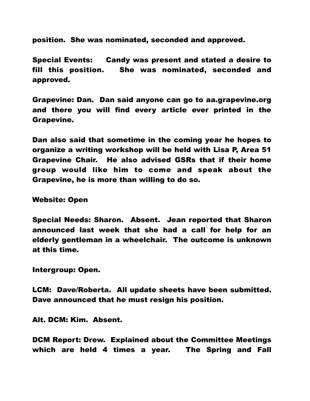position. She was nominated, seconded and approved.

Special Events: Candy was present and stated a desire to fill this position. She was nominated, seconded and approved.

Grapevine: Dan. Dan said anyone can go to aa.grapevine.org and there you will find every article ever printed in the Grapevine.

Dan also said that sometime in the coming year he hopes to organize a writing workshop will be held with Lisa P, Area 51 Grapevine Chair. He also advised GSRs that if their home group would like him to come and speak about the Grapevine, he is more than willing to do so.

Website: Open

Special Needs: Sharon. Absent. Jean reported that Sharon announced last week that she had a call for help for an elderly gentleman in a wheelchair. The outcome is unknown at this time.

Intergroup: Open.

LCM: Dave/Roberta. All update sheets have been submitted. Dave announced that he must resign his position.

Alt. DCM: Kim. Absent.

DCM Report: Drew. Explained about the Committee Meetings which are held 4 times a year. The Spring and Fall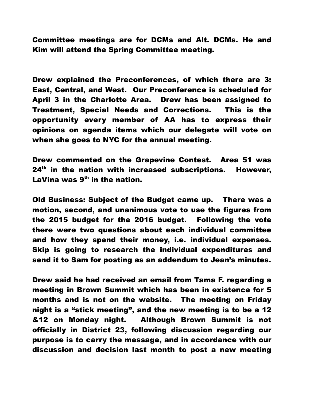Committee meetings are for DCMs and Alt. DCMs. He and Kim will attend the Spring Committee meeting.

Drew explained the Preconferences, of which there are 3: East, Central, and West. Our Preconference is scheduled for April 3 in the Charlotte Area. Drew has been assigned to Treatment, Special Needs and Corrections. This is the opportunity every member of AA has to express their opinions on agenda items which our delegate will vote on when she goes to NYC for the annual meeting.

Drew commented on the Grapevine Contest. Area 51 was  $24<sup>th</sup>$  in the nation with increased subscriptions. However, LaVina was  $9<sup>th</sup>$  in the nation.

Old Business: Subject of the Budget came up. There was a motion, second, and unanimous vote to use the figures from the 2015 budget for the 2016 budget. Following the vote there were two questions about each individual committee and how they spend their money, i.e. individual expenses. Skip is going to research the individual expenditures and send it to Sam for posting as an addendum to Jean's minutes.

Drew said he had received an email from Tama F. regarding a meeting in Brown Summit which has been in existence for 5 months and is not on the website. The meeting on Friday night is a "stick meeting", and the new meeting is to be a 12 &12 on Monday night. Although Brown Summit is not officially in District 23, following discussion regarding our purpose is to carry the message, and in accordance with our discussion and decision last month to post a new meeting